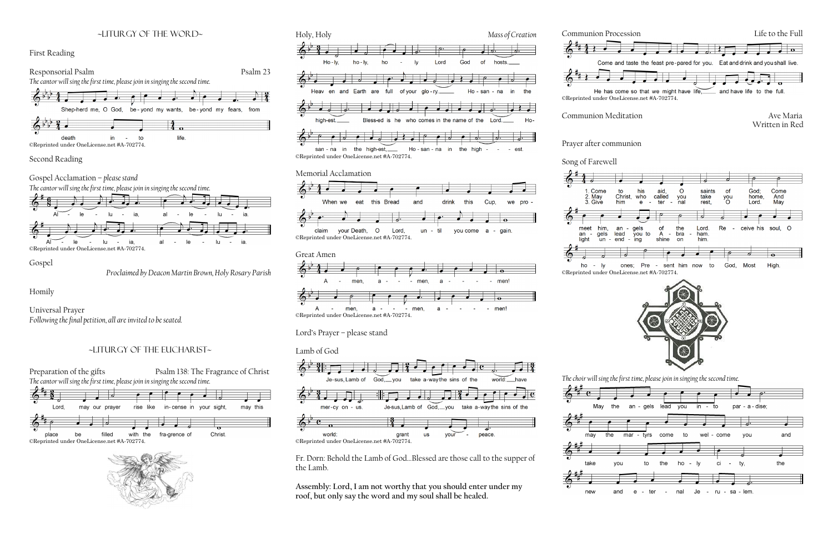### ~liturgy of the word~







Gospel Acclamation – *please stand*



©Reprinted under OneLicense.net #A-702774.

Gospel

*Proclaimed by Deacon Martin Brown, Holy Rosary Parish*

Homily

Universal Prayer *Following the final petition, all are invited to be seated.*

## ~Liturgy of the Eucharist~











Lord's Prayer – please stand

Lamb of God



Fr. Dorn: Behold the Lamb of God…Blessed are those call to the supper of the Lamb.

**Assembly: Lord, I am not worthy that you should enter under my roof, but only say the word and my soul shall be healed.**





Communion Meditation **Ave Maria** 



*The choir will sing the first time, please join in singing the second time.* 

Prayer after communion

Song of Farewell







Written in Red